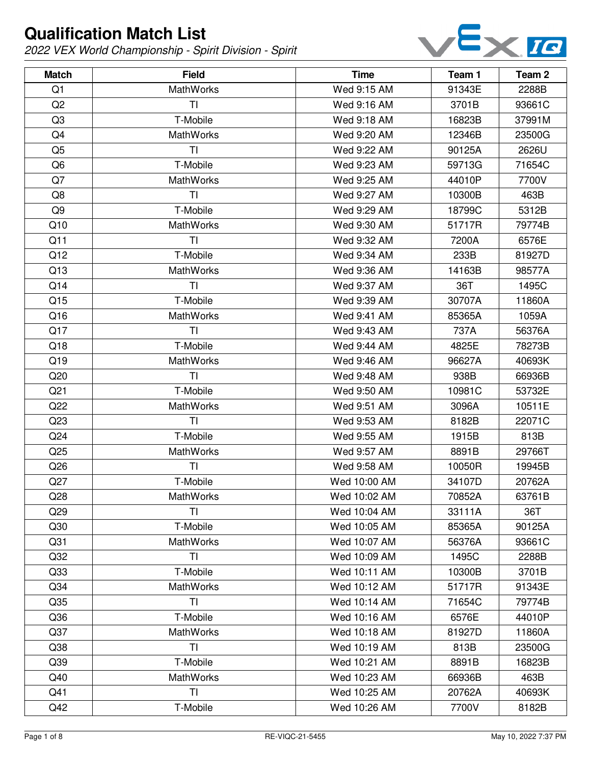

| <b>Match</b>    | <b>Field</b>     | <b>Time</b>  | Team 1 | Team <sub>2</sub> |
|-----------------|------------------|--------------|--------|-------------------|
| Q1              | <b>MathWorks</b> | Wed 9:15 AM  | 91343E | 2288B             |
| Q2              | TI               | Wed 9:16 AM  | 3701B  | 93661C            |
| Q3              | T-Mobile         | Wed 9:18 AM  | 16823B | 37991M            |
| Q4              | <b>MathWorks</b> | Wed 9:20 AM  | 12346B | 23500G            |
| Q <sub>5</sub>  | TI               | Wed 9:22 AM  | 90125A | 2626U             |
| Q <sub>6</sub>  | T-Mobile         | Wed 9:23 AM  | 59713G | 71654C            |
| Q7              | <b>MathWorks</b> | Wed 9:25 AM  | 44010P | 7700V             |
| Q8              | TI               | Wed 9:27 AM  | 10300B | 463B              |
| Q9              | T-Mobile         | Wed 9:29 AM  | 18799C | 5312B             |
| Q10             | <b>MathWorks</b> | Wed 9:30 AM  | 51717R | 79774B            |
| Q11             | <b>TI</b>        | Wed 9:32 AM  | 7200A  | 6576E             |
| Q12             | T-Mobile         | Wed 9:34 AM  | 233B   | 81927D            |
| Q13             | <b>MathWorks</b> | Wed 9:36 AM  | 14163B | 98577A            |
| Q14             | TI               | Wed 9:37 AM  | 36T    | 1495C             |
| Q15             | T-Mobile         | Wed 9:39 AM  | 30707A | 11860A            |
| Q16             | MathWorks        | Wed 9:41 AM  | 85365A | 1059A             |
| Q17             | <b>TI</b>        | Wed 9:43 AM  | 737A   | 56376A            |
| Q18             | T-Mobile         | Wed 9:44 AM  | 4825E  | 78273B            |
| Q19             | <b>MathWorks</b> | Wed 9:46 AM  | 96627A | 40693K            |
| Q20             | TI               | Wed 9:48 AM  | 938B   | 66936B            |
| Q <sub>21</sub> | T-Mobile         | Wed 9:50 AM  | 10981C | 53732E            |
| Q22             | <b>MathWorks</b> | Wed 9:51 AM  | 3096A  | 10511E            |
| Q23             | TI               | Wed 9:53 AM  | 8182B  | 22071C            |
| Q <sub>24</sub> | T-Mobile         | Wed 9:55 AM  | 1915B  | 813B              |
| Q25             | <b>MathWorks</b> | Wed 9:57 AM  | 8891B  | 29766T            |
| Q26             | TI               | Wed 9:58 AM  | 10050R | 19945B            |
| Q27             | T-Mobile         | Wed 10:00 AM | 34107D | 20762A            |
| Q28             | MathWorks        | Wed 10:02 AM | 70852A | 63761B            |
| Q <sub>29</sub> | <b>TI</b>        | Wed 10:04 AM | 33111A | 36T               |
| Q30             | T-Mobile         | Wed 10:05 AM | 85365A | 90125A            |
| Q <sub>31</sub> | <b>MathWorks</b> | Wed 10:07 AM | 56376A | 93661C            |
| Q <sub>32</sub> | TI               | Wed 10:09 AM | 1495C  | 2288B             |
| Q <sub>33</sub> | T-Mobile         | Wed 10:11 AM | 10300B | 3701B             |
| Q <sub>34</sub> | <b>MathWorks</b> | Wed 10:12 AM | 51717R | 91343E            |
| Q <sub>35</sub> | TI               | Wed 10:14 AM | 71654C | 79774B            |
| Q36             | T-Mobile         | Wed 10:16 AM | 6576E  | 44010P            |
| Q37             | <b>MathWorks</b> | Wed 10:18 AM | 81927D | 11860A            |
| Q <sub>38</sub> | TI               | Wed 10:19 AM | 813B   | 23500G            |
| Q <sub>39</sub> | T-Mobile         | Wed 10:21 AM | 8891B  | 16823B            |
| Q40             | <b>MathWorks</b> | Wed 10:23 AM | 66936B | 463B              |
| Q41             | <b>TI</b>        | Wed 10:25 AM | 20762A | 40693K            |
| Q42             | T-Mobile         | Wed 10:26 AM | 7700V  | 8182B             |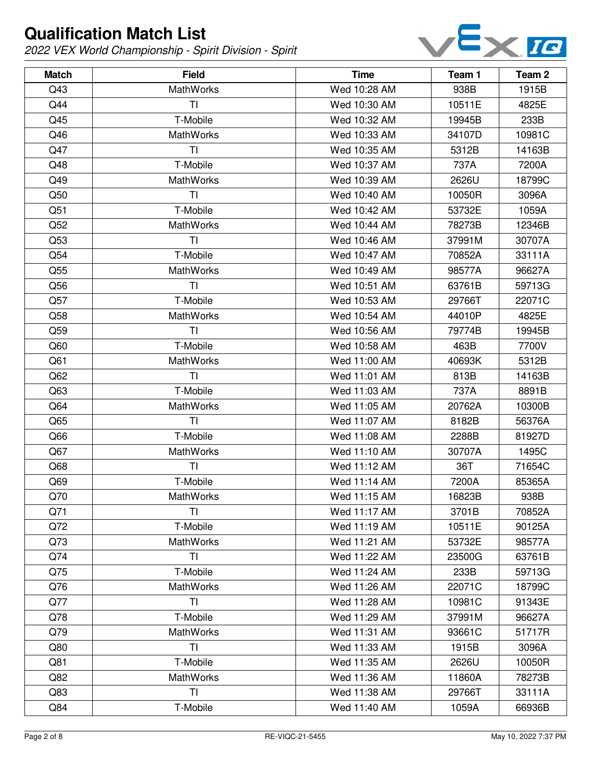

| <b>Match</b> | <b>Field</b>     | <b>Time</b>  | Team 1 | Team <sub>2</sub> |
|--------------|------------------|--------------|--------|-------------------|
| Q43          | <b>MathWorks</b> | Wed 10:28 AM | 938B   | 1915B             |
| Q44          | TI               | Wed 10:30 AM | 10511E | 4825E             |
| Q45          | T-Mobile         | Wed 10:32 AM | 19945B | 233B              |
| Q46          | <b>MathWorks</b> | Wed 10:33 AM | 34107D | 10981C            |
| Q47          | TI               | Wed 10:35 AM | 5312B  | 14163B            |
| Q48          | T-Mobile         | Wed 10:37 AM | 737A   | 7200A             |
| Q49          | <b>MathWorks</b> | Wed 10:39 AM | 2626U  | 18799C            |
| Q50          | TI               | Wed 10:40 AM | 10050R | 3096A             |
| Q51          | T-Mobile         | Wed 10:42 AM | 53732E | 1059A             |
| Q52          | <b>MathWorks</b> | Wed 10:44 AM | 78273B | 12346B            |
| Q53          | TI               | Wed 10:46 AM | 37991M | 30707A            |
| Q54          | T-Mobile         | Wed 10:47 AM | 70852A | 33111A            |
| Q55          | <b>MathWorks</b> | Wed 10:49 AM | 98577A | 96627A            |
| Q56          | TI               | Wed 10:51 AM | 63761B | 59713G            |
| Q57          | T-Mobile         | Wed 10:53 AM | 29766T | 22071C            |
| Q58          | <b>MathWorks</b> | Wed 10:54 AM | 44010P | 4825E             |
| Q59          | TI               | Wed 10:56 AM | 79774B | 19945B            |
| Q60          | T-Mobile         | Wed 10:58 AM | 463B   | 7700V             |
| Q61          | <b>MathWorks</b> | Wed 11:00 AM | 40693K | 5312B             |
| Q62          | TI               | Wed 11:01 AM | 813B   | 14163B            |
| Q63          | T-Mobile         | Wed 11:03 AM | 737A   | 8891B             |
| Q64          | <b>MathWorks</b> | Wed 11:05 AM | 20762A | 10300B            |
| Q65          | TI               | Wed 11:07 AM | 8182B  | 56376A            |
| Q66          | T-Mobile         | Wed 11:08 AM | 2288B  | 81927D            |
| Q67          | MathWorks        | Wed 11:10 AM | 30707A | 1495C             |
| Q68          | <b>TI</b>        | Wed 11:12 AM | 36T    | 71654C            |
| Q69          | T-Mobile         | Wed 11:14 AM | 7200A  | 85365A            |
| Q70          | MathWorks        | Wed 11:15 AM | 16823B | 938B              |
| Q71          | ΤI               | Wed 11:17 AM | 3701B  | 70852A            |
| Q72          | T-Mobile         | Wed 11:19 AM | 10511E | 90125A            |
| Q73          | <b>MathWorks</b> | Wed 11:21 AM | 53732E | 98577A            |
| Q74          | TI               | Wed 11:22 AM | 23500G | 63761B            |
| Q75          | T-Mobile         | Wed 11:24 AM | 233B   | 59713G            |
| Q76          | <b>MathWorks</b> | Wed 11:26 AM | 22071C | 18799C            |
| Q77          | TI               | Wed 11:28 AM | 10981C | 91343E            |
| Q78          | T-Mobile         | Wed 11:29 AM | 37991M | 96627A            |
| Q79          | <b>MathWorks</b> | Wed 11:31 AM | 93661C | 51717R            |
| Q80          | TI               | Wed 11:33 AM | 1915B  | 3096A             |
| Q81          | T-Mobile         | Wed 11:35 AM | 2626U  | 10050R            |
| Q82          | <b>MathWorks</b> | Wed 11:36 AM | 11860A | 78273B            |
| Q83          | <b>TI</b>        | Wed 11:38 AM | 29766T | 33111A            |
| Q84          | T-Mobile         | Wed 11:40 AM | 1059A  | 66936B            |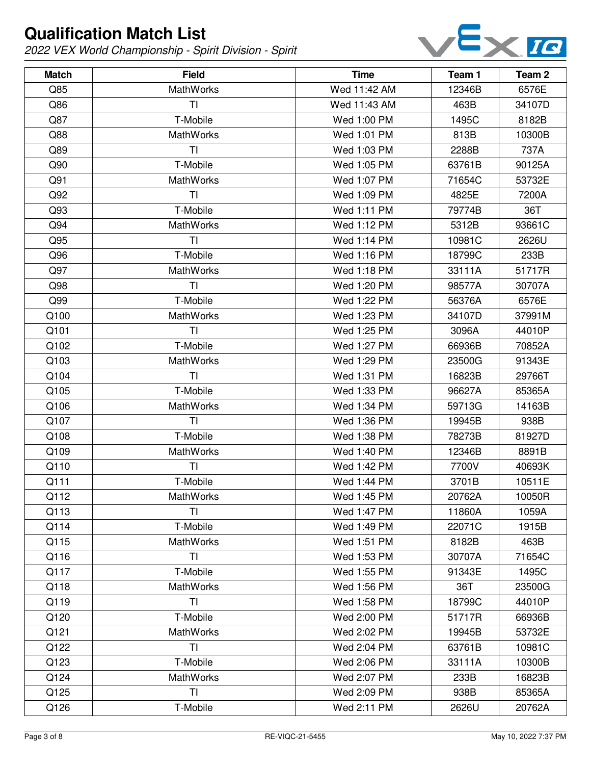

| <b>Match</b> | <b>Field</b>     | <b>Time</b>  | Team 1 | Team <sub>2</sub> |
|--------------|------------------|--------------|--------|-------------------|
| Q85          | <b>MathWorks</b> | Wed 11:42 AM | 12346B | 6576E             |
| Q86          | TI               | Wed 11:43 AM | 463B   | 34107D            |
| Q87          | T-Mobile         | Wed 1:00 PM  | 1495C  | 8182B             |
| Q88          | <b>MathWorks</b> | Wed 1:01 PM  | 813B   | 10300B            |
| Q89          | TI               | Wed 1:03 PM  | 2288B  | 737A              |
| Q90          | T-Mobile         | Wed 1:05 PM  | 63761B | 90125A            |
| Q91          | <b>MathWorks</b> | Wed 1:07 PM  | 71654C | 53732E            |
| Q92          | TI               | Wed 1:09 PM  | 4825E  | 7200A             |
| Q93          | T-Mobile         | Wed 1:11 PM  | 79774B | 36T               |
| Q94          | <b>MathWorks</b> | Wed 1:12 PM  | 5312B  | 93661C            |
| Q95          | T <sub>l</sub>   | Wed 1:14 PM  | 10981C | 2626U             |
| Q96          | T-Mobile         | Wed 1:16 PM  | 18799C | 233B              |
| Q97          | <b>MathWorks</b> | Wed 1:18 PM  | 33111A | 51717R            |
| Q98          | TI               | Wed 1:20 PM  | 98577A | 30707A            |
| Q99          | T-Mobile         | Wed 1:22 PM  | 56376A | 6576E             |
| Q100         | <b>MathWorks</b> | Wed 1:23 PM  | 34107D | 37991M            |
| Q101         | TI               | Wed 1:25 PM  | 3096A  | 44010P            |
| Q102         | T-Mobile         | Wed 1:27 PM  | 66936B | 70852A            |
| Q103         | <b>MathWorks</b> | Wed 1:29 PM  | 23500G | 91343E            |
| Q104         | TI               | Wed 1:31 PM  | 16823B | 29766T            |
| Q105         | T-Mobile         | Wed 1:33 PM  | 96627A | 85365A            |
| Q106         | <b>MathWorks</b> | Wed 1:34 PM  | 59713G | 14163B            |
| Q107         | T <sub>l</sub>   | Wed 1:36 PM  | 19945B | 938B              |
| Q108         | T-Mobile         | Wed 1:38 PM  | 78273B | 81927D            |
| Q109         | MathWorks        | Wed 1:40 PM  | 12346B | 8891B             |
| Q110         | <b>TI</b>        | Wed 1:42 PM  | 7700V  | 40693K            |
| Q111         | T-Mobile         | Wed 1:44 PM  | 3701B  | 10511E            |
| Q112         | MathWorks        | Wed 1:45 PM  | 20762A | 10050R            |
| Q113         | ΤI               | Wed 1:47 PM  | 11860A | 1059A             |
| Q114         | T-Mobile         | Wed 1:49 PM  | 22071C | 1915B             |
| Q115         | <b>MathWorks</b> | Wed 1:51 PM  | 8182B  | 463B              |
| Q116         | TI               | Wed 1:53 PM  | 30707A | 71654C            |
| Q117         | T-Mobile         | Wed 1:55 PM  | 91343E | 1495C             |
| Q118         | <b>MathWorks</b> | Wed 1:56 PM  | 36T    | 23500G            |
| Q119         | TI               | Wed 1:58 PM  | 18799C | 44010P            |
| Q120         | T-Mobile         | Wed 2:00 PM  | 51717R | 66936B            |
| Q121         | <b>MathWorks</b> | Wed 2:02 PM  | 19945B | 53732E            |
| Q122         | TI               | Wed 2:04 PM  | 63761B | 10981C            |
| Q123         | T-Mobile         | Wed 2:06 PM  | 33111A | 10300B            |
| Q124         | <b>MathWorks</b> | Wed 2:07 PM  | 233B   | 16823B            |
| Q125         | <b>TI</b>        | Wed 2:09 PM  | 938B   | 85365A            |
| Q126         | T-Mobile         | Wed 2:11 PM  | 2626U  | 20762A            |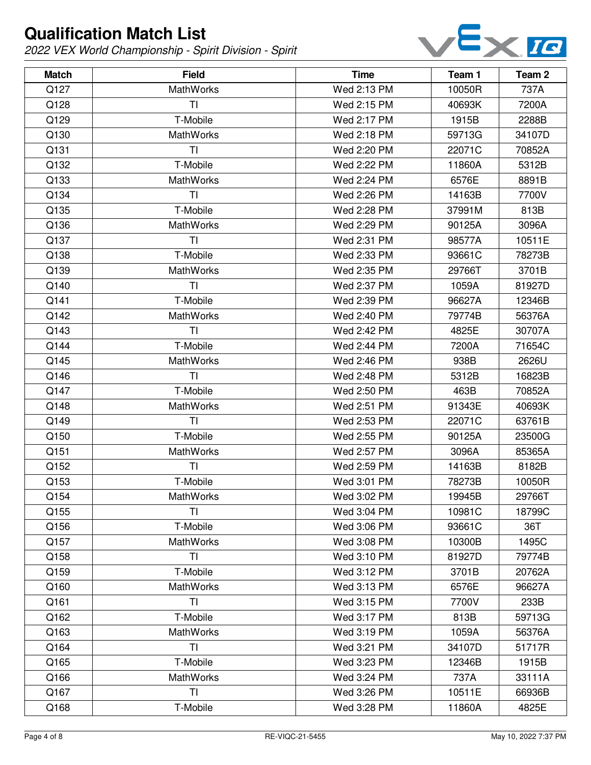

| <b>Match</b> | <b>Field</b>     | <b>Time</b> | Team 1 | Team 2 |
|--------------|------------------|-------------|--------|--------|
| Q127         | <b>MathWorks</b> | Wed 2:13 PM | 10050R | 737A   |
| Q128         | ΤI               | Wed 2:15 PM | 40693K | 7200A  |
| Q129         | T-Mobile         | Wed 2:17 PM | 1915B  | 2288B  |
| Q130         | <b>MathWorks</b> | Wed 2:18 PM | 59713G | 34107D |
| Q131         | TI               | Wed 2:20 PM | 22071C | 70852A |
| Q132         | T-Mobile         | Wed 2:22 PM | 11860A | 5312B  |
| Q133         | MathWorks        | Wed 2:24 PM | 6576E  | 8891B  |
| Q134         | TI               | Wed 2:26 PM | 14163B | 7700V  |
| Q135         | T-Mobile         | Wed 2:28 PM | 37991M | 813B   |
| Q136         | MathWorks        | Wed 2:29 PM | 90125A | 3096A  |
| Q137         | TI               | Wed 2:31 PM | 98577A | 10511E |
| Q138         | T-Mobile         | Wed 2:33 PM | 93661C | 78273B |
| Q139         | MathWorks        | Wed 2:35 PM | 29766T | 3701B  |
| Q140         | TI               | Wed 2:37 PM | 1059A  | 81927D |
| Q141         | T-Mobile         | Wed 2:39 PM | 96627A | 12346B |
| Q142         | <b>MathWorks</b> | Wed 2:40 PM | 79774B | 56376A |
| Q143         | TI               | Wed 2:42 PM | 4825E  | 30707A |
| Q144         | T-Mobile         | Wed 2:44 PM | 7200A  | 71654C |
| Q145         | <b>MathWorks</b> | Wed 2:46 PM | 938B   | 2626U  |
| Q146         | <b>TI</b>        | Wed 2:48 PM | 5312B  | 16823B |
| Q147         | T-Mobile         | Wed 2:50 PM | 463B   | 70852A |
| Q148         | MathWorks        | Wed 2:51 PM | 91343E | 40693K |
| Q149         | TI               | Wed 2:53 PM | 22071C | 63761B |
| Q150         | T-Mobile         | Wed 2:55 PM | 90125A | 23500G |
| Q151         | MathWorks        | Wed 2:57 PM | 3096A  | 85365A |
| Q152         | TI               | Wed 2:59 PM | 14163B | 8182B  |
| Q153         | T-Mobile         | Wed 3:01 PM | 78273B | 10050R |
| Q154         | MathWorks        | Wed 3:02 PM | 19945B | 29766T |
| Q155         | ΤI               | Wed 3:04 PM | 10981C | 18799C |
| Q156         | T-Mobile         | Wed 3:06 PM | 93661C | 36T    |
| Q157         | <b>MathWorks</b> | Wed 3:08 PM | 10300B | 1495C  |
| Q158         | ΤI               | Wed 3:10 PM | 81927D | 79774B |
| Q159         | T-Mobile         | Wed 3:12 PM | 3701B  | 20762A |
| Q160         | <b>MathWorks</b> | Wed 3:13 PM | 6576E  | 96627A |
| Q161         | <b>TI</b>        | Wed 3:15 PM | 7700V  | 233B   |
| Q162         | T-Mobile         | Wed 3:17 PM | 813B   | 59713G |
| Q163         | MathWorks        | Wed 3:19 PM | 1059A  | 56376A |
| Q164         | <b>TI</b>        | Wed 3:21 PM | 34107D | 51717R |
| Q165         | T-Mobile         | Wed 3:23 PM | 12346B | 1915B  |
| Q166         | <b>MathWorks</b> | Wed 3:24 PM | 737A   | 33111A |
| Q167         | <b>TI</b>        | Wed 3:26 PM | 10511E | 66936B |
| Q168         | T-Mobile         | Wed 3:28 PM | 11860A | 4825E  |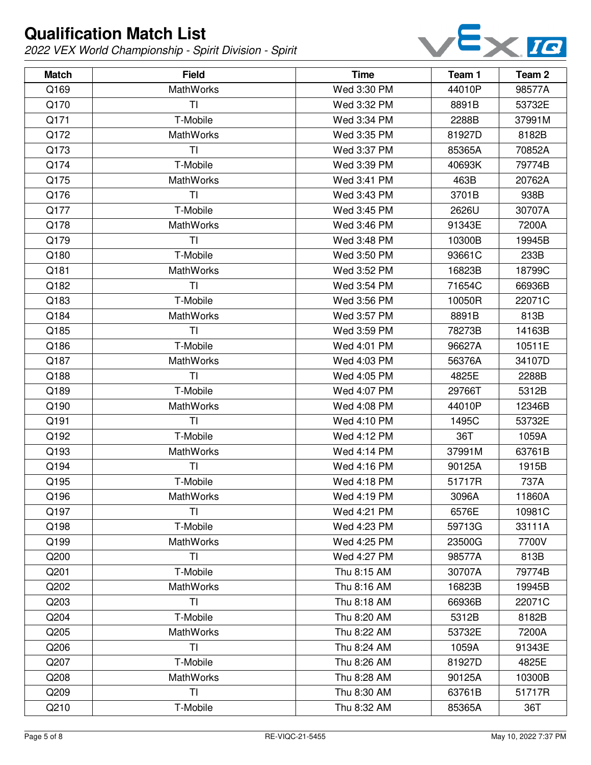

| <b>Match</b> | <b>Field</b>     | <b>Time</b> | Team 1 | Team <sub>2</sub> |
|--------------|------------------|-------------|--------|-------------------|
| Q169         | MathWorks        | Wed 3:30 PM | 44010P | 98577A            |
| Q170         | TI               | Wed 3:32 PM | 8891B  | 53732E            |
| Q171         | T-Mobile         | Wed 3:34 PM | 2288B  | 37991M            |
| Q172         | <b>MathWorks</b> | Wed 3:35 PM | 81927D | 8182B             |
| Q173         | TI               | Wed 3:37 PM | 85365A | 70852A            |
| Q174         | T-Mobile         | Wed 3:39 PM | 40693K | 79774B            |
| Q175         | <b>MathWorks</b> | Wed 3:41 PM | 463B   | 20762A            |
| Q176         | TI               | Wed 3:43 PM | 3701B  | 938B              |
| Q177         | T-Mobile         | Wed 3:45 PM | 2626U  | 30707A            |
| Q178         | MathWorks        | Wed 3:46 PM | 91343E | 7200A             |
| Q179         | TI               | Wed 3:48 PM | 10300B | 19945B            |
| Q180         | T-Mobile         | Wed 3:50 PM | 93661C | 233B              |
| Q181         | <b>MathWorks</b> | Wed 3:52 PM | 16823B | 18799C            |
| Q182         | TI               | Wed 3:54 PM | 71654C | 66936B            |
| Q183         | T-Mobile         | Wed 3:56 PM | 10050R | 22071C            |
| Q184         | MathWorks        | Wed 3:57 PM | 8891B  | 813B              |
| Q185         | TI               | Wed 3:59 PM | 78273B | 14163B            |
| Q186         | T-Mobile         | Wed 4:01 PM | 96627A | 10511E            |
| Q187         | <b>MathWorks</b> | Wed 4:03 PM | 56376A | 34107D            |
| Q188         | TI               | Wed 4:05 PM | 4825E  | 2288B             |
| Q189         | T-Mobile         | Wed 4:07 PM | 29766T | 5312B             |
| Q190         | MathWorks        | Wed 4:08 PM | 44010P | 12346B            |
| Q191         | TI               | Wed 4:10 PM | 1495C  | 53732E            |
| Q192         | T-Mobile         | Wed 4:12 PM | 36T    | 1059A             |
| Q193         | MathWorks        | Wed 4:14 PM | 37991M | 63761B            |
| Q194         | <b>TI</b>        | Wed 4:16 PM | 90125A | 1915B             |
| Q195         | T-Mobile         | Wed 4:18 PM | 51717R | 737A              |
| Q196         | MathWorks        | Wed 4:19 PM | 3096A  | 11860A            |
| Q197         | TI               | Wed 4:21 PM | 6576E  | 10981C            |
| Q198         | T-Mobile         | Wed 4:23 PM | 59713G | 33111A            |
| Q199         | MathWorks        | Wed 4:25 PM | 23500G | 7700V             |
| Q200         | TI               | Wed 4:27 PM | 98577A | 813B              |
| Q201         | T-Mobile         | Thu 8:15 AM | 30707A | 79774B            |
| Q202         | <b>MathWorks</b> | Thu 8:16 AM | 16823B | 19945B            |
| Q203         | TI               | Thu 8:18 AM | 66936B | 22071C            |
| Q204         | T-Mobile         | Thu 8:20 AM | 5312B  | 8182B             |
| Q205         | <b>MathWorks</b> | Thu 8:22 AM | 53732E | 7200A             |
| Q206         | <b>TI</b>        | Thu 8:24 AM | 1059A  | 91343E            |
| Q207         | T-Mobile         | Thu 8:26 AM | 81927D | 4825E             |
| Q208         | MathWorks        | Thu 8:28 AM | 90125A | 10300B            |
| Q209         | TI               | Thu 8:30 AM | 63761B | 51717R            |
| Q210         | T-Mobile         | Thu 8:32 AM | 85365A | 36T               |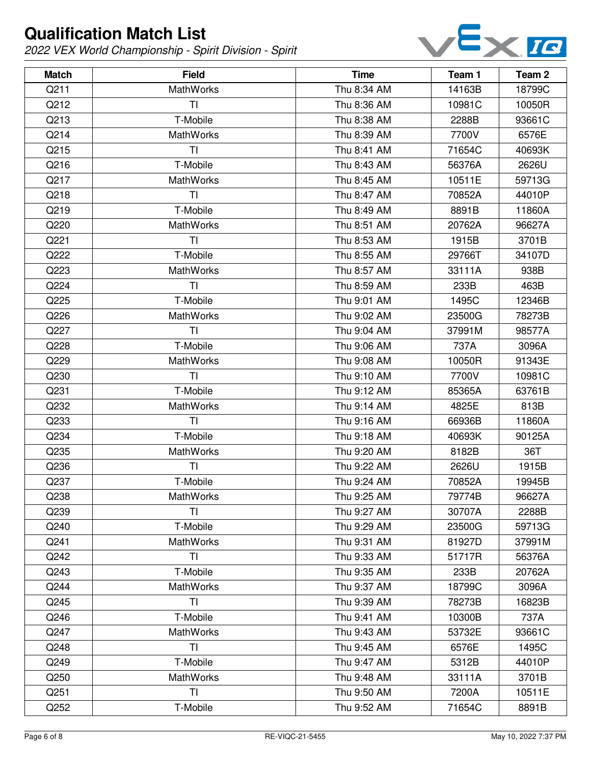

| <b>Match</b> | <b>Field</b>     | <b>Time</b> | Team 1 | Team 2 |
|--------------|------------------|-------------|--------|--------|
| Q211         | <b>MathWorks</b> | Thu 8:34 AM | 14163B | 18799C |
| Q212         | TI               | Thu 8:36 AM | 10981C | 10050R |
| Q213         | T-Mobile         | Thu 8:38 AM | 2288B  | 93661C |
| Q214         | <b>MathWorks</b> | Thu 8:39 AM | 7700V  | 6576E  |
| Q215         | TI               | Thu 8:41 AM | 71654C | 40693K |
| Q216         | T-Mobile         | Thu 8:43 AM | 56376A | 2626U  |
| Q217         | <b>MathWorks</b> | Thu 8:45 AM | 10511E | 59713G |
| Q218         | TI               | Thu 8:47 AM | 70852A | 44010P |
| Q219         | T-Mobile         | Thu 8:49 AM | 8891B  | 11860A |
| Q220         | <b>MathWorks</b> | Thu 8:51 AM | 20762A | 96627A |
| Q221         | TI               | Thu 8:53 AM | 1915B  | 3701B  |
| Q222         | T-Mobile         | Thu 8:55 AM | 29766T | 34107D |
| Q223         | <b>MathWorks</b> | Thu 8:57 AM | 33111A | 938B   |
| Q224         | TI               | Thu 8:59 AM | 233B   | 463B   |
| Q225         | T-Mobile         | Thu 9:01 AM | 1495C  | 12346B |
| Q226         | <b>MathWorks</b> | Thu 9:02 AM | 23500G | 78273B |
| Q227         | TI               | Thu 9:04 AM | 37991M | 98577A |
| Q228         | T-Mobile         | Thu 9:06 AM | 737A   | 3096A  |
| Q229         | <b>MathWorks</b> | Thu 9:08 AM | 10050R | 91343E |
| Q230         | TI               | Thu 9:10 AM | 7700V  | 10981C |
| Q231         | T-Mobile         | Thu 9:12 AM | 85365A | 63761B |
| Q232         | <b>MathWorks</b> | Thu 9:14 AM | 4825E  | 813B   |
| Q233         | TI               | Thu 9:16 AM | 66936B | 11860A |
| Q234         | T-Mobile         | Thu 9:18 AM | 40693K | 90125A |
| Q235         | MathWorks        | Thu 9:20 AM | 8182B  | 36T    |
| Q236         | TI               | Thu 9:22 AM | 2626U  | 1915B  |
| Q237         | T-Mobile         | Thu 9:24 AM | 70852A | 19945B |
| Q238         | MathWorks        | Thu 9:25 AM | 79774B | 96627A |
| Q239         | ΤI               | Thu 9:27 AM | 30707A | 2288B  |
| Q240         | T-Mobile         | Thu 9:29 AM | 23500G | 59713G |
| Q241         | <b>MathWorks</b> | Thu 9:31 AM | 81927D | 37991M |
| Q242         | TI               | Thu 9:33 AM | 51717R | 56376A |
| Q243         | T-Mobile         | Thu 9:35 AM | 233B   | 20762A |
| Q244         | <b>MathWorks</b> | Thu 9:37 AM | 18799C | 3096A  |
| Q245         | TI               | Thu 9:39 AM | 78273B | 16823B |
| Q246         | T-Mobile         | Thu 9:41 AM | 10300B | 737A   |
| Q247         | <b>MathWorks</b> | Thu 9:43 AM | 53732E | 93661C |
| Q248         | TI               | Thu 9:45 AM | 6576E  | 1495C  |
| Q249         | T-Mobile         | Thu 9:47 AM | 5312B  | 44010P |
| Q250         | <b>MathWorks</b> | Thu 9:48 AM | 33111A | 3701B  |
| Q251         | ΤI               | Thu 9:50 AM | 7200A  | 10511E |
| Q252         | T-Mobile         | Thu 9:52 AM | 71654C | 8891B  |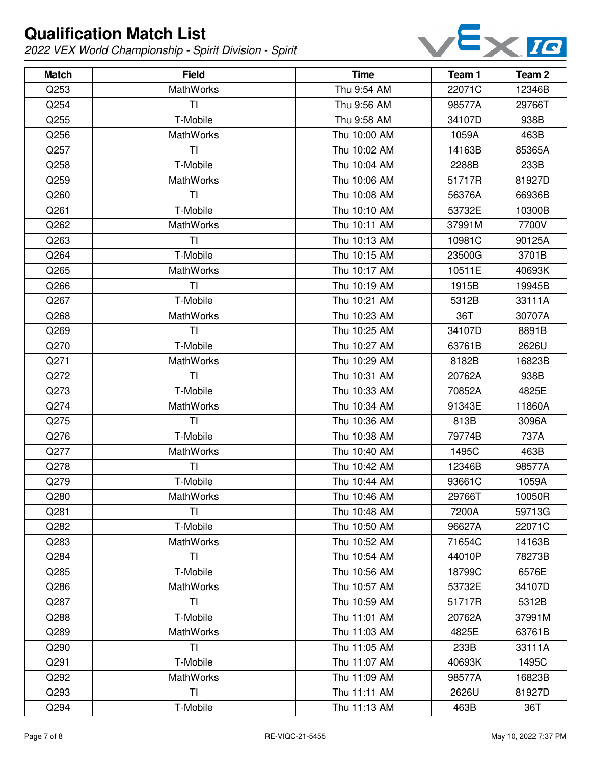

| <b>Match</b> | <b>Field</b>     | <b>Time</b>  | Team 1 | Team 2 |
|--------------|------------------|--------------|--------|--------|
| Q253         | <b>MathWorks</b> | Thu 9:54 AM  | 22071C | 12346B |
| Q254         | ΤI               | Thu 9:56 AM  | 98577A | 29766T |
| Q255         | T-Mobile         | Thu 9:58 AM  | 34107D | 938B   |
| Q256         | <b>MathWorks</b> | Thu 10:00 AM | 1059A  | 463B   |
| Q257         | <b>TI</b>        | Thu 10:02 AM | 14163B | 85365A |
| Q258         | T-Mobile         | Thu 10:04 AM | 2288B  | 233B   |
| Q259         | <b>MathWorks</b> | Thu 10:06 AM | 51717R | 81927D |
| Q260         | TI               | Thu 10:08 AM | 56376A | 66936B |
| Q261         | T-Mobile         | Thu 10:10 AM | 53732E | 10300B |
| Q262         | <b>MathWorks</b> | Thu 10:11 AM | 37991M | 7700V  |
| Q263         | TI               | Thu 10:13 AM | 10981C | 90125A |
| Q264         | T-Mobile         | Thu 10:15 AM | 23500G | 3701B  |
| Q265         | MathWorks        | Thu 10:17 AM | 10511E | 40693K |
| Q266         | TI               | Thu 10:19 AM | 1915B  | 19945B |
| Q267         | T-Mobile         | Thu 10:21 AM | 5312B  | 33111A |
| Q268         | <b>MathWorks</b> | Thu 10:23 AM | 36T    | 30707A |
| Q269         | TI               | Thu 10:25 AM | 34107D | 8891B  |
| Q270         | T-Mobile         | Thu 10:27 AM | 63761B | 2626U  |
| Q271         | <b>MathWorks</b> | Thu 10:29 AM | 8182B  | 16823B |
| Q272         | TI               | Thu 10:31 AM | 20762A | 938B   |
| Q273         | T-Mobile         | Thu 10:33 AM | 70852A | 4825E  |
| Q274         | <b>MathWorks</b> | Thu 10:34 AM | 91343E | 11860A |
| Q275         | <b>TI</b>        | Thu 10:36 AM | 813B   | 3096A  |
| Q276         | T-Mobile         | Thu 10:38 AM | 79774B | 737A   |
| Q277         | MathWorks        | Thu 10:40 AM | 1495C  | 463B   |
| Q278         | TI               | Thu 10:42 AM | 12346B | 98577A |
| Q279         | T-Mobile         | Thu 10:44 AM | 93661C | 1059A  |
| Q280         | MathWorks        | Thu 10:46 AM | 29766T | 10050R |
| Q281         | ΤI               | Thu 10:48 AM | 7200A  | 59713G |
| Q282         | T-Mobile         | Thu 10:50 AM | 96627A | 22071C |
| Q283         | <b>MathWorks</b> | Thu 10:52 AM | 71654C | 14163B |
| Q284         | TI               | Thu 10:54 AM | 44010P | 78273B |
| Q285         | T-Mobile         | Thu 10:56 AM | 18799C | 6576E  |
| Q286         | <b>MathWorks</b> | Thu 10:57 AM | 53732E | 34107D |
| Q287         | TI               | Thu 10:59 AM | 51717R | 5312B  |
| Q288         | T-Mobile         | Thu 11:01 AM | 20762A | 37991M |
| Q289         | MathWorks        | Thu 11:03 AM | 4825E  | 63761B |
| Q290         | <b>TI</b>        | Thu 11:05 AM | 233B   | 33111A |
| Q291         | T-Mobile         | Thu 11:07 AM | 40693K | 1495C  |
| Q292         | <b>MathWorks</b> | Thu 11:09 AM | 98577A | 16823B |
| Q293         | <b>TI</b>        | Thu 11:11 AM | 2626U  | 81927D |
| Q294         | T-Mobile         | Thu 11:13 AM | 463B   | 36T    |